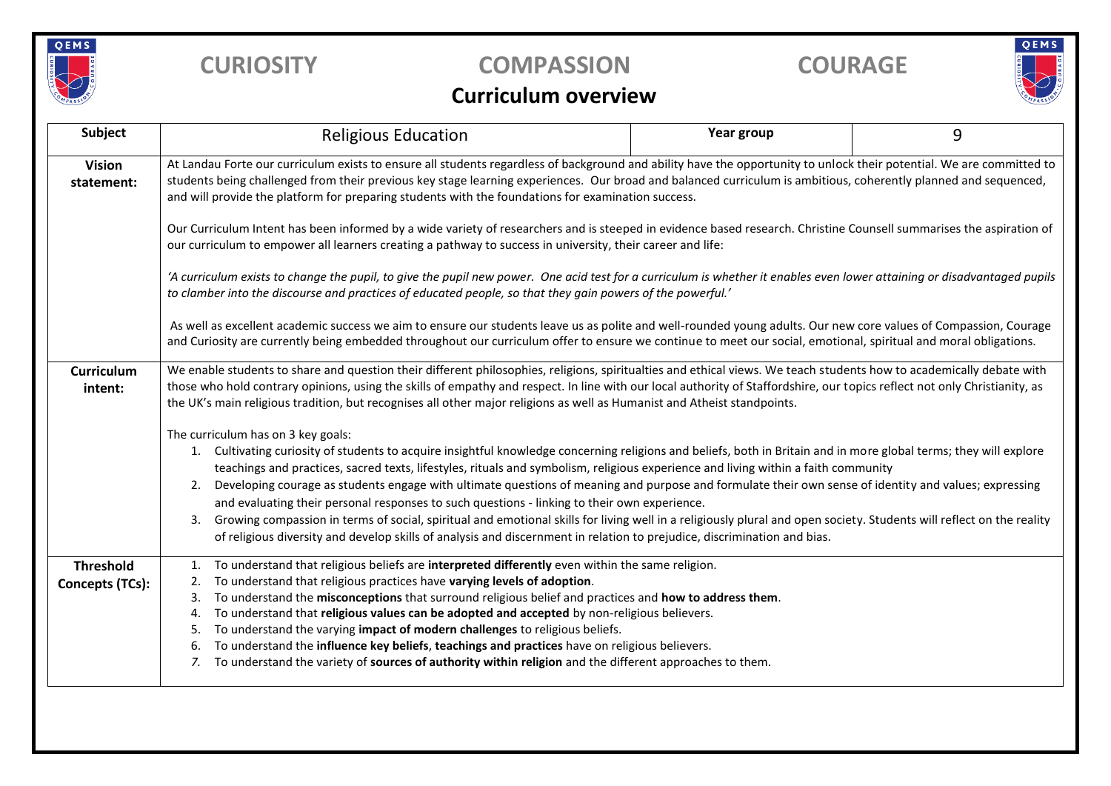

## **CURIOSITY COMPASSION COURAGE**

# QEMS

### **Curriculum overview**

| Subject                             | <b>Religious Education</b>                                                                                                                                                                                                                                                                                                                                                                                                                                                                                                                                                                                                                                                                                                                                                                                                                                                                                              | Year group | 9 |  |  |  |  |  |
|-------------------------------------|-------------------------------------------------------------------------------------------------------------------------------------------------------------------------------------------------------------------------------------------------------------------------------------------------------------------------------------------------------------------------------------------------------------------------------------------------------------------------------------------------------------------------------------------------------------------------------------------------------------------------------------------------------------------------------------------------------------------------------------------------------------------------------------------------------------------------------------------------------------------------------------------------------------------------|------------|---|--|--|--|--|--|
| <b>Vision</b><br>statement:         | At Landau Forte our curriculum exists to ensure all students regardless of background and ability have the opportunity to unlock their potential. We are committed to<br>students being challenged from their previous key stage learning experiences. Our broad and balanced curriculum is ambitious, coherently planned and sequenced,<br>and will provide the platform for preparing students with the foundations for examination success.                                                                                                                                                                                                                                                                                                                                                                                                                                                                          |            |   |  |  |  |  |  |
|                                     | Our Curriculum Intent has been informed by a wide variety of researchers and is steeped in evidence based research. Christine Counsell summarises the aspiration of<br>our curriculum to empower all learners creating a pathway to success in university, their career and life:                                                                                                                                                                                                                                                                                                                                                                                                                                                                                                                                                                                                                                       |            |   |  |  |  |  |  |
|                                     | 'A curriculum exists to change the pupil, to give the pupil new power. One acid test for a curriculum is whether it enables even lower attaining or disadvantaged pupils<br>to clamber into the discourse and practices of educated people, so that they gain powers of the powerful.'                                                                                                                                                                                                                                                                                                                                                                                                                                                                                                                                                                                                                                  |            |   |  |  |  |  |  |
|                                     | As well as excellent academic success we aim to ensure our students leave us as polite and well-rounded young adults. Our new core values of Compassion, Courage<br>and Curiosity are currently being embedded throughout our curriculum offer to ensure we continue to meet our social, emotional, spiritual and moral obligations.                                                                                                                                                                                                                                                                                                                                                                                                                                                                                                                                                                                    |            |   |  |  |  |  |  |
| Curriculum<br>intent:               | We enable students to share and question their different philosophies, religions, spiritualties and ethical views. We teach students how to academically debate with<br>those who hold contrary opinions, using the skills of empathy and respect. In line with our local authority of Staffordshire, our topics reflect not only Christianity, as<br>the UK's main religious tradition, but recognises all other major religions as well as Humanist and Atheist standpoints.                                                                                                                                                                                                                                                                                                                                                                                                                                          |            |   |  |  |  |  |  |
|                                     | The curriculum has on 3 key goals:<br>1. Cultivating curiosity of students to acquire insightful knowledge concerning religions and beliefs, both in Britain and in more global terms; they will explore<br>teachings and practices, sacred texts, lifestyles, rituals and symbolism, religious experience and living within a faith community<br>Developing courage as students engage with ultimate questions of meaning and purpose and formulate their own sense of identity and values; expressing<br>2.<br>and evaluating their personal responses to such questions - linking to their own experience.<br>Growing compassion in terms of social, spiritual and emotional skills for living well in a religiously plural and open society. Students will reflect on the reality<br>3.<br>of religious diversity and develop skills of analysis and discernment in relation to prejudice, discrimination and bias. |            |   |  |  |  |  |  |
| <b>Threshold</b><br>Concepts (TCs): | To understand that religious beliefs are interpreted differently even within the same religion.<br>1.<br>To understand that religious practices have varying levels of adoption.<br>2.<br>To understand the misconceptions that surround religious belief and practices and how to address them.<br>3.<br>To understand that religious values can be adopted and accepted by non-religious believers.<br>4.<br>To understand the varying impact of modern challenges to religious beliefs.<br>5.<br>To understand the influence key beliefs, teachings and practices have on religious believers.<br>6.<br>To understand the variety of sources of authority within religion and the different approaches to them.                                                                                                                                                                                                      |            |   |  |  |  |  |  |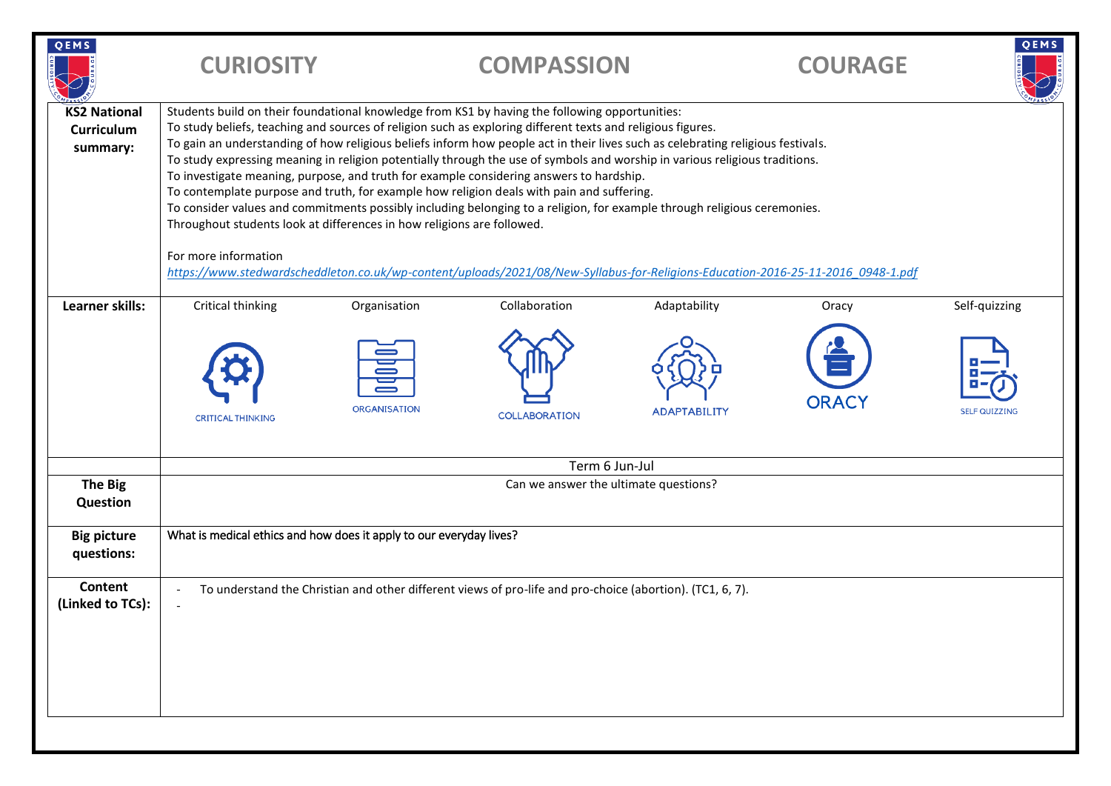| Students build on their foundational knowledge from KS1 by having the following opportunities:<br><b>KS2 National</b><br>To study beliefs, teaching and sources of religion such as exploring different texts and religious figures.<br>Curriculum<br>To gain an understanding of how religious beliefs inform how people act in their lives such as celebrating religious festivals.<br>summary:<br>To study expressing meaning in religion potentially through the use of symbols and worship in various religious traditions.<br>To investigate meaning, purpose, and truth for example considering answers to hardship.<br>To contemplate purpose and truth, for example how religion deals with pain and suffering.<br>To consider values and commitments possibly including belonging to a religion, for example through religious ceremonies.<br>Throughout students look at differences in how religions are followed.<br>For more information<br>https://www.stedwardscheddleton.co.uk/wp-content/uploads/2021/08/New-Syllabus-for-Religions-Education-2016-25-11-2016 0948-1.pdf<br>Critical thinking<br>Collaboration<br>Adaptability<br>Learner skills:<br>Organisation<br>Oracy<br><b>ORACY</b><br><b>ORGANISATION</b><br><b>ADAPTABILITY</b><br><b>COLLABORATION</b><br><b>CRITICAL THINKING</b><br>Term 6 Jun-Jul<br>Can we answer the ultimate questions?<br>The Big<br>Question<br>What is medical ethics and how does it apply to our everyday lives?<br><b>Big picture</b><br>questions:<br>Content<br>To understand the Christian and other different views of pro-life and pro-choice (abortion). (TC1, 6, 7). | QEMS             | <b>CURIOSITY</b> | <b>COMPASSION</b> | <b>COURAGE</b> | QEMS                 |  |  |
|-------------------------------------------------------------------------------------------------------------------------------------------------------------------------------------------------------------------------------------------------------------------------------------------------------------------------------------------------------------------------------------------------------------------------------------------------------------------------------------------------------------------------------------------------------------------------------------------------------------------------------------------------------------------------------------------------------------------------------------------------------------------------------------------------------------------------------------------------------------------------------------------------------------------------------------------------------------------------------------------------------------------------------------------------------------------------------------------------------------------------------------------------------------------------------------------------------------------------------------------------------------------------------------------------------------------------------------------------------------------------------------------------------------------------------------------------------------------------------------------------------------------------------------------------------------------------------------------------------------------------------------|------------------|------------------|-------------------|----------------|----------------------|--|--|
|                                                                                                                                                                                                                                                                                                                                                                                                                                                                                                                                                                                                                                                                                                                                                                                                                                                                                                                                                                                                                                                                                                                                                                                                                                                                                                                                                                                                                                                                                                                                                                                                                                     |                  |                  |                   |                |                      |  |  |
|                                                                                                                                                                                                                                                                                                                                                                                                                                                                                                                                                                                                                                                                                                                                                                                                                                                                                                                                                                                                                                                                                                                                                                                                                                                                                                                                                                                                                                                                                                                                                                                                                                     |                  |                  |                   |                | Self-quizzing        |  |  |
|                                                                                                                                                                                                                                                                                                                                                                                                                                                                                                                                                                                                                                                                                                                                                                                                                                                                                                                                                                                                                                                                                                                                                                                                                                                                                                                                                                                                                                                                                                                                                                                                                                     |                  |                  |                   |                | <b>SELF QUIZZING</b> |  |  |
|                                                                                                                                                                                                                                                                                                                                                                                                                                                                                                                                                                                                                                                                                                                                                                                                                                                                                                                                                                                                                                                                                                                                                                                                                                                                                                                                                                                                                                                                                                                                                                                                                                     |                  |                  |                   |                |                      |  |  |
|                                                                                                                                                                                                                                                                                                                                                                                                                                                                                                                                                                                                                                                                                                                                                                                                                                                                                                                                                                                                                                                                                                                                                                                                                                                                                                                                                                                                                                                                                                                                                                                                                                     |                  |                  |                   |                |                      |  |  |
|                                                                                                                                                                                                                                                                                                                                                                                                                                                                                                                                                                                                                                                                                                                                                                                                                                                                                                                                                                                                                                                                                                                                                                                                                                                                                                                                                                                                                                                                                                                                                                                                                                     |                  |                  |                   |                |                      |  |  |
|                                                                                                                                                                                                                                                                                                                                                                                                                                                                                                                                                                                                                                                                                                                                                                                                                                                                                                                                                                                                                                                                                                                                                                                                                                                                                                                                                                                                                                                                                                                                                                                                                                     | (Linked to TCs): |                  |                   |                |                      |  |  |